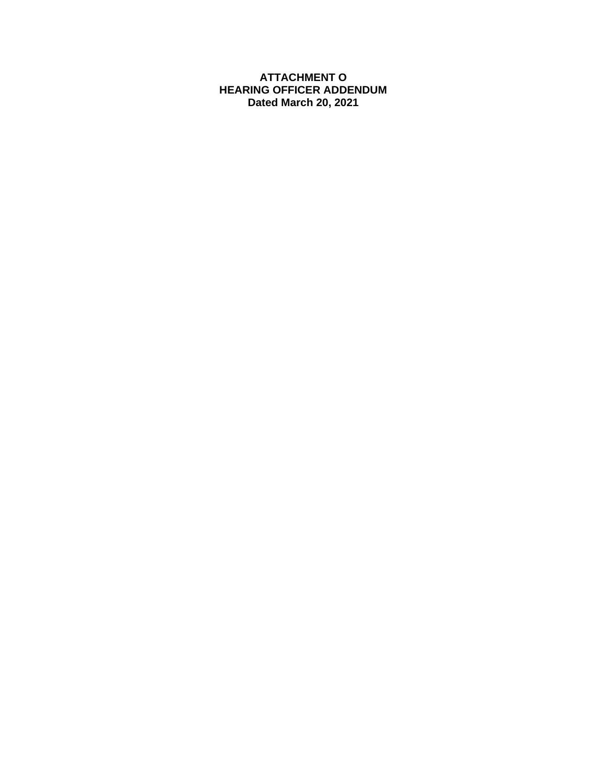#### **ATTACHMENT O HEARING OFFICER ADDENDUM Dated March 20, 2021**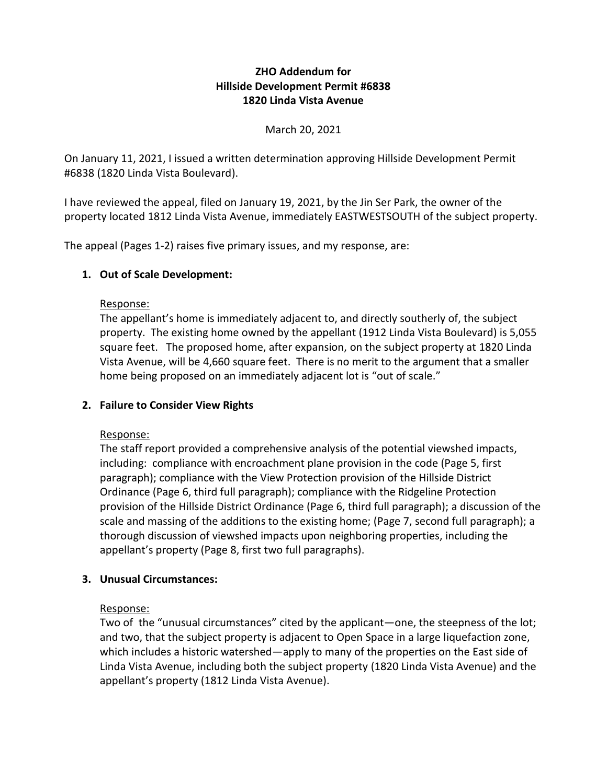## **ZHO Addendum for Hillside Development Permit #6838 1820 Linda Vista Avenue**

### March 20, 2021

On January 11, 2021, I issued a written determination approving Hillside Development Permit #6838 (1820 Linda Vista Boulevard).

I have reviewed the appeal, filed on January 19, 2021, by the Jin Ser Park, the owner of the property located 1812 Linda Vista Avenue, immediately EASTWESTSOUTH of the subject property.

The appeal (Pages 1-2) raises five primary issues, and my response, are:

### **1. Out of Scale Development:**

#### Response:

The appellant's home is immediately adjacent to, and directly southerly of, the subject property. The existing home owned by the appellant (1912 Linda Vista Boulevard) is 5,055 square feet. The proposed home, after expansion, on the subject property at 1820 Linda Vista Avenue, will be 4,660 square feet. There is no merit to the argument that a smaller home being proposed on an immediately adjacent lot is "out of scale."

## **2. Failure to Consider View Rights**

#### Response:

The staff report provided a comprehensive analysis of the potential viewshed impacts, including: compliance with encroachment plane provision in the code (Page 5, first paragraph); compliance with the View Protection provision of the Hillside District Ordinance (Page 6, third full paragraph); compliance with the Ridgeline Protection provision of the Hillside District Ordinance (Page 6, third full paragraph); a discussion of the scale and massing of the additions to the existing home; (Page 7, second full paragraph); a thorough discussion of viewshed impacts upon neighboring properties, including the appellant's property (Page 8, first two full paragraphs).

## **3. Unusual Circumstances:**

#### Response:

Two of the "unusual circumstances" cited by the applicant—one, the steepness of the lot; and two, that the subject property is adjacent to Open Space in a large liquefaction zone, which includes a historic watershed—apply to many of the properties on the East side of Linda Vista Avenue, including both the subject property (1820 Linda Vista Avenue) and the appellant's property (1812 Linda Vista Avenue).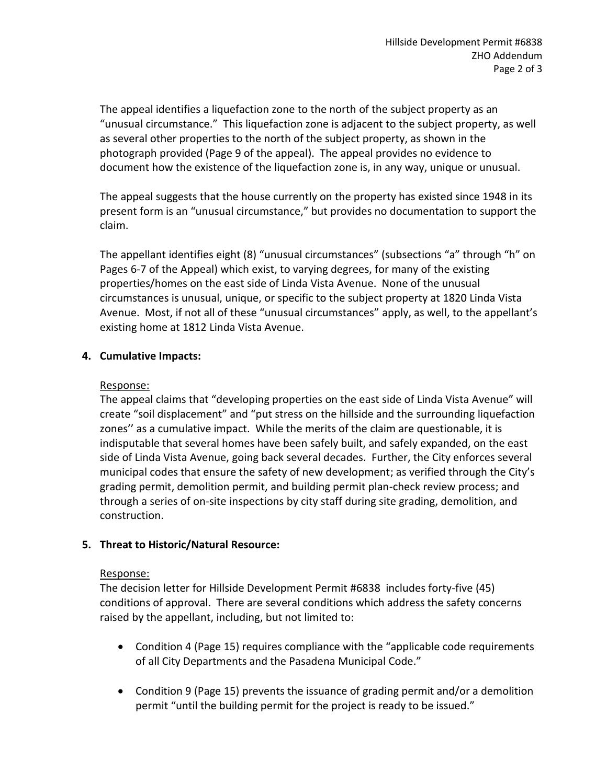The appeal identifies a liquefaction zone to the north of the subject property as an "unusual circumstance." This liquefaction zone is adjacent to the subject property, as well as several other properties to the north of the subject property, as shown in the photograph provided (Page 9 of the appeal). The appeal provides no evidence to document how the existence of the liquefaction zone is, in any way, unique or unusual.

The appeal suggests that the house currently on the property has existed since 1948 in its present form is an "unusual circumstance," but provides no documentation to support the claim.

The appellant identifies eight (8) "unusual circumstances" (subsections "a" through "h" on Pages 6-7 of the Appeal) which exist, to varying degrees, for many of the existing properties/homes on the east side of Linda Vista Avenue. None of the unusual circumstances is unusual, unique, or specific to the subject property at 1820 Linda Vista Avenue. Most, if not all of these "unusual circumstances" apply, as well, to the appellant's existing home at 1812 Linda Vista Avenue.

# **4. Cumulative Impacts:**

### Response:

The appeal claims that "developing properties on the east side of Linda Vista Avenue" will create "soil displacement" and "put stress on the hillside and the surrounding liquefaction zones'' as a cumulative impact. While the merits of the claim are questionable, it is indisputable that several homes have been safely built, and safely expanded, on the east side of Linda Vista Avenue, going back several decades. Further, the City enforces several municipal codes that ensure the safety of new development; as verified through the City's grading permit, demolition permit, and building permit plan-check review process; and through a series of on-site inspections by city staff during site grading, demolition, and construction.

## **5. Threat to Historic/Natural Resource:**

## Response:

The decision letter for Hillside Development Permit #6838 includes forty-five (45) conditions of approval. There are several conditions which address the safety concerns raised by the appellant, including, but not limited to:

- Condition 4 (Page 15) requires compliance with the "applicable code requirements of all City Departments and the Pasadena Municipal Code."
- Condition 9 (Page 15) prevents the issuance of grading permit and/or a demolition permit "until the building permit for the project is ready to be issued."